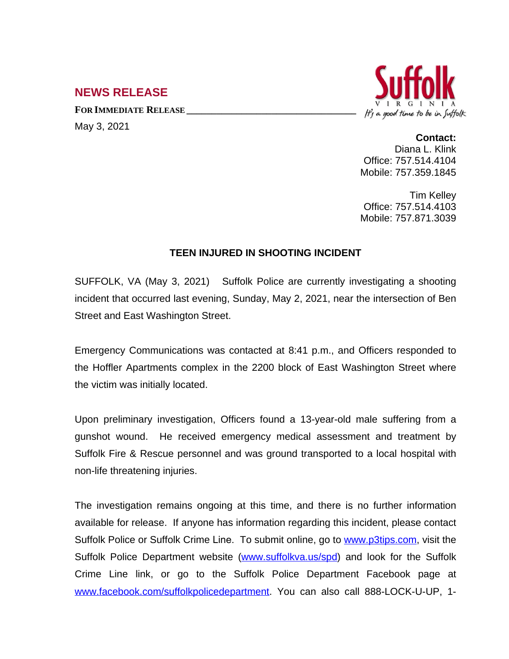## **NEWS RELEASE**

**FOR IMMEDIATE RELEASE \_\_\_\_\_\_\_\_\_\_\_\_\_\_\_\_\_\_\_\_\_\_\_\_\_\_\_\_\_\_\_\_\_\_**

May 3, 2021



## **Contact:**

Diana L. Klink Office: 757.514.4104 Mobile: 757.359.1845

Tim Kelley Office: 757.514.4103 Mobile: 757.871.3039

## **TEEN INJURED IN SHOOTING INCIDENT**

SUFFOLK, VA (May 3, 2021) Suffolk Police are currently investigating a shooting incident that occurred last evening, Sunday, May 2, 2021, near the intersection of Ben Street and East Washington Street.

Emergency Communications was contacted at 8:41 p.m., and Officers responded to the Hoffler Apartments complex in the 2200 block of East Washington Street where the victim was initially located.

Upon preliminary investigation, Officers found a 13-year-old male suffering from a gunshot wound. He received emergency medical assessment and treatment by Suffolk Fire & Rescue personnel and was ground transported to a local hospital with non-life threatening injuries.

The investigation remains ongoing at this time, and there is no further information available for release. If anyone has information regarding this incident, please contact Suffolk Police or Suffolk Crime Line. To submit online, go to [www.p3tips.com](http://www.p3tips.com), visit the Suffolk Police Department website ([www.suffolkva.us/spd\)](http://www.suffolkva.us/spd) and look for the Suffolk Crime Line link, or go to the Suffolk Police Department Facebook page at [www.facebook.com/suffolkpolicedepartment](http://www.facebook.com/suffolkpolicedepartment). You can also call 888-LOCK-U-UP, 1